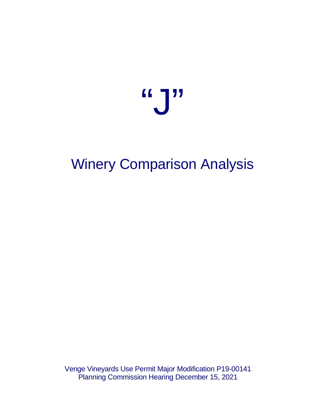

# Winery Comparison Analysis

Venge Vineyards Use Permit Major Modification P19-00141 Planning Commission Hearing December 15, 2021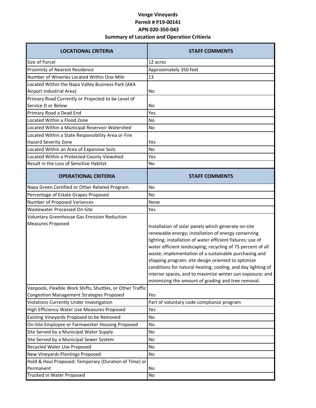### **Venge Vineyards Permit # P19-00141 APN 020-350-043 Summary of Location and Operation Critieria**

| 12 acres<br>Proximity of Nearest Residence<br>Approximately 350 feet<br>13<br>Number of Wineries Located Within One Mile<br>Located Within the Napa Valley Business Park (AKA<br>Airport Industrial Area)<br>No<br>Primary Road Currently or Projected to be Level of<br>Service D or Below<br>No<br>Primary Road a Dead End<br>Yes<br>Located Within a Flood Zone<br>No<br>Located Within a Municipal Reservoir Watershed<br>No<br>Located Within a State Responsibility Area or Fire<br><b>Hazard Severity Zone</b><br>Yes<br>Located Within an Area of Expansive Soils<br>No<br>Located Within a Protected County Viewshed<br>Yes<br>Result in the Loss of Sensitive Habitat<br>No<br><b>OPERATIONAL CRITERIA</b><br><b>STAFF COMMENTS</b><br>Napa Green Certified or Other Related Program<br>No<br>Percentage of Estate Grapes Proposed<br>No<br>Number of Proposed Variances<br>None<br>Wastewater Processed On-Site<br>Yes<br><b>Voluntary Greenhouse Gas Emission Reduction</b><br><b>Measures Proposed</b><br>Installation of solar panels which generate on-site<br>renewable energy; installation of energy conserving<br>lighting; installation of water efficient fixtures; use of<br>water efficient landscaping; recycling of 75 percent of all<br>waste; implementation of a sustainable purchasing and<br>shipping program; site design oriented to optimize<br>conditions for natural heating, cooling, and day lighting of<br>interior spaces, and to maximize winter sun exposure; and<br>minimizing the amount of grading and tree removal.<br>Vanpools, Flexible Work Shifts, Shuttles, or Other Traffic<br><b>Congestion Management Strategies Proposed</b><br>Yes<br>Violations Currently Under Investigation<br>Part of voluntary code compliance program<br>High Efficiency Water Use Measures Proposed<br>Yes<br>Existing Vineyards Proposed to be Removed<br>No<br>On-Site Employee or Farmworker Housing Proposed<br>No<br>Site Served by a Municipal Water Supply<br>No<br>Site Served by a Municipal Sewer System<br>No<br>Recycled Water Use Proposed<br>No<br>New Vineyards Plantings Proposed<br>No<br>Hold & Haul Proposed: Temporary (Duration of Time) or<br>Permanent<br>No<br>Trucked in Water Proposed<br>No | <b>LOCATIONAL CRITERIA</b> | <b>STAFF COMMENTS</b> |
|------------------------------------------------------------------------------------------------------------------------------------------------------------------------------------------------------------------------------------------------------------------------------------------------------------------------------------------------------------------------------------------------------------------------------------------------------------------------------------------------------------------------------------------------------------------------------------------------------------------------------------------------------------------------------------------------------------------------------------------------------------------------------------------------------------------------------------------------------------------------------------------------------------------------------------------------------------------------------------------------------------------------------------------------------------------------------------------------------------------------------------------------------------------------------------------------------------------------------------------------------------------------------------------------------------------------------------------------------------------------------------------------------------------------------------------------------------------------------------------------------------------------------------------------------------------------------------------------------------------------------------------------------------------------------------------------------------------------------------------------------------------------------------------------------------------------------------------------------------------------------------------------------------------------------------------------------------------------------------------------------------------------------------------------------------------------------------------------------------------------------------------------------------------------------------------------------------------------------------------------------|----------------------------|-----------------------|
|                                                                                                                                                                                                                                                                                                                                                                                                                                                                                                                                                                                                                                                                                                                                                                                                                                                                                                                                                                                                                                                                                                                                                                                                                                                                                                                                                                                                                                                                                                                                                                                                                                                                                                                                                                                                                                                                                                                                                                                                                                                                                                                                                                                                                                                      | Size of Parcel             |                       |
|                                                                                                                                                                                                                                                                                                                                                                                                                                                                                                                                                                                                                                                                                                                                                                                                                                                                                                                                                                                                                                                                                                                                                                                                                                                                                                                                                                                                                                                                                                                                                                                                                                                                                                                                                                                                                                                                                                                                                                                                                                                                                                                                                                                                                                                      |                            |                       |
|                                                                                                                                                                                                                                                                                                                                                                                                                                                                                                                                                                                                                                                                                                                                                                                                                                                                                                                                                                                                                                                                                                                                                                                                                                                                                                                                                                                                                                                                                                                                                                                                                                                                                                                                                                                                                                                                                                                                                                                                                                                                                                                                                                                                                                                      |                            |                       |
|                                                                                                                                                                                                                                                                                                                                                                                                                                                                                                                                                                                                                                                                                                                                                                                                                                                                                                                                                                                                                                                                                                                                                                                                                                                                                                                                                                                                                                                                                                                                                                                                                                                                                                                                                                                                                                                                                                                                                                                                                                                                                                                                                                                                                                                      |                            |                       |
|                                                                                                                                                                                                                                                                                                                                                                                                                                                                                                                                                                                                                                                                                                                                                                                                                                                                                                                                                                                                                                                                                                                                                                                                                                                                                                                                                                                                                                                                                                                                                                                                                                                                                                                                                                                                                                                                                                                                                                                                                                                                                                                                                                                                                                                      |                            |                       |
|                                                                                                                                                                                                                                                                                                                                                                                                                                                                                                                                                                                                                                                                                                                                                                                                                                                                                                                                                                                                                                                                                                                                                                                                                                                                                                                                                                                                                                                                                                                                                                                                                                                                                                                                                                                                                                                                                                                                                                                                                                                                                                                                                                                                                                                      |                            |                       |
|                                                                                                                                                                                                                                                                                                                                                                                                                                                                                                                                                                                                                                                                                                                                                                                                                                                                                                                                                                                                                                                                                                                                                                                                                                                                                                                                                                                                                                                                                                                                                                                                                                                                                                                                                                                                                                                                                                                                                                                                                                                                                                                                                                                                                                                      |                            |                       |
|                                                                                                                                                                                                                                                                                                                                                                                                                                                                                                                                                                                                                                                                                                                                                                                                                                                                                                                                                                                                                                                                                                                                                                                                                                                                                                                                                                                                                                                                                                                                                                                                                                                                                                                                                                                                                                                                                                                                                                                                                                                                                                                                                                                                                                                      |                            |                       |
|                                                                                                                                                                                                                                                                                                                                                                                                                                                                                                                                                                                                                                                                                                                                                                                                                                                                                                                                                                                                                                                                                                                                                                                                                                                                                                                                                                                                                                                                                                                                                                                                                                                                                                                                                                                                                                                                                                                                                                                                                                                                                                                                                                                                                                                      |                            |                       |
|                                                                                                                                                                                                                                                                                                                                                                                                                                                                                                                                                                                                                                                                                                                                                                                                                                                                                                                                                                                                                                                                                                                                                                                                                                                                                                                                                                                                                                                                                                                                                                                                                                                                                                                                                                                                                                                                                                                                                                                                                                                                                                                                                                                                                                                      |                            |                       |
|                                                                                                                                                                                                                                                                                                                                                                                                                                                                                                                                                                                                                                                                                                                                                                                                                                                                                                                                                                                                                                                                                                                                                                                                                                                                                                                                                                                                                                                                                                                                                                                                                                                                                                                                                                                                                                                                                                                                                                                                                                                                                                                                                                                                                                                      |                            |                       |
|                                                                                                                                                                                                                                                                                                                                                                                                                                                                                                                                                                                                                                                                                                                                                                                                                                                                                                                                                                                                                                                                                                                                                                                                                                                                                                                                                                                                                                                                                                                                                                                                                                                                                                                                                                                                                                                                                                                                                                                                                                                                                                                                                                                                                                                      |                            |                       |
|                                                                                                                                                                                                                                                                                                                                                                                                                                                                                                                                                                                                                                                                                                                                                                                                                                                                                                                                                                                                                                                                                                                                                                                                                                                                                                                                                                                                                                                                                                                                                                                                                                                                                                                                                                                                                                                                                                                                                                                                                                                                                                                                                                                                                                                      |                            |                       |
|                                                                                                                                                                                                                                                                                                                                                                                                                                                                                                                                                                                                                                                                                                                                                                                                                                                                                                                                                                                                                                                                                                                                                                                                                                                                                                                                                                                                                                                                                                                                                                                                                                                                                                                                                                                                                                                                                                                                                                                                                                                                                                                                                                                                                                                      |                            |                       |
|                                                                                                                                                                                                                                                                                                                                                                                                                                                                                                                                                                                                                                                                                                                                                                                                                                                                                                                                                                                                                                                                                                                                                                                                                                                                                                                                                                                                                                                                                                                                                                                                                                                                                                                                                                                                                                                                                                                                                                                                                                                                                                                                                                                                                                                      |                            |                       |
|                                                                                                                                                                                                                                                                                                                                                                                                                                                                                                                                                                                                                                                                                                                                                                                                                                                                                                                                                                                                                                                                                                                                                                                                                                                                                                                                                                                                                                                                                                                                                                                                                                                                                                                                                                                                                                                                                                                                                                                                                                                                                                                                                                                                                                                      |                            |                       |
|                                                                                                                                                                                                                                                                                                                                                                                                                                                                                                                                                                                                                                                                                                                                                                                                                                                                                                                                                                                                                                                                                                                                                                                                                                                                                                                                                                                                                                                                                                                                                                                                                                                                                                                                                                                                                                                                                                                                                                                                                                                                                                                                                                                                                                                      |                            |                       |
|                                                                                                                                                                                                                                                                                                                                                                                                                                                                                                                                                                                                                                                                                                                                                                                                                                                                                                                                                                                                                                                                                                                                                                                                                                                                                                                                                                                                                                                                                                                                                                                                                                                                                                                                                                                                                                                                                                                                                                                                                                                                                                                                                                                                                                                      |                            |                       |
|                                                                                                                                                                                                                                                                                                                                                                                                                                                                                                                                                                                                                                                                                                                                                                                                                                                                                                                                                                                                                                                                                                                                                                                                                                                                                                                                                                                                                                                                                                                                                                                                                                                                                                                                                                                                                                                                                                                                                                                                                                                                                                                                                                                                                                                      |                            |                       |
|                                                                                                                                                                                                                                                                                                                                                                                                                                                                                                                                                                                                                                                                                                                                                                                                                                                                                                                                                                                                                                                                                                                                                                                                                                                                                                                                                                                                                                                                                                                                                                                                                                                                                                                                                                                                                                                                                                                                                                                                                                                                                                                                                                                                                                                      |                            |                       |
|                                                                                                                                                                                                                                                                                                                                                                                                                                                                                                                                                                                                                                                                                                                                                                                                                                                                                                                                                                                                                                                                                                                                                                                                                                                                                                                                                                                                                                                                                                                                                                                                                                                                                                                                                                                                                                                                                                                                                                                                                                                                                                                                                                                                                                                      |                            |                       |
|                                                                                                                                                                                                                                                                                                                                                                                                                                                                                                                                                                                                                                                                                                                                                                                                                                                                                                                                                                                                                                                                                                                                                                                                                                                                                                                                                                                                                                                                                                                                                                                                                                                                                                                                                                                                                                                                                                                                                                                                                                                                                                                                                                                                                                                      |                            |                       |
|                                                                                                                                                                                                                                                                                                                                                                                                                                                                                                                                                                                                                                                                                                                                                                                                                                                                                                                                                                                                                                                                                                                                                                                                                                                                                                                                                                                                                                                                                                                                                                                                                                                                                                                                                                                                                                                                                                                                                                                                                                                                                                                                                                                                                                                      |                            |                       |
|                                                                                                                                                                                                                                                                                                                                                                                                                                                                                                                                                                                                                                                                                                                                                                                                                                                                                                                                                                                                                                                                                                                                                                                                                                                                                                                                                                                                                                                                                                                                                                                                                                                                                                                                                                                                                                                                                                                                                                                                                                                                                                                                                                                                                                                      |                            |                       |
|                                                                                                                                                                                                                                                                                                                                                                                                                                                                                                                                                                                                                                                                                                                                                                                                                                                                                                                                                                                                                                                                                                                                                                                                                                                                                                                                                                                                                                                                                                                                                                                                                                                                                                                                                                                                                                                                                                                                                                                                                                                                                                                                                                                                                                                      |                            |                       |
|                                                                                                                                                                                                                                                                                                                                                                                                                                                                                                                                                                                                                                                                                                                                                                                                                                                                                                                                                                                                                                                                                                                                                                                                                                                                                                                                                                                                                                                                                                                                                                                                                                                                                                                                                                                                                                                                                                                                                                                                                                                                                                                                                                                                                                                      |                            |                       |
|                                                                                                                                                                                                                                                                                                                                                                                                                                                                                                                                                                                                                                                                                                                                                                                                                                                                                                                                                                                                                                                                                                                                                                                                                                                                                                                                                                                                                                                                                                                                                                                                                                                                                                                                                                                                                                                                                                                                                                                                                                                                                                                                                                                                                                                      |                            |                       |
|                                                                                                                                                                                                                                                                                                                                                                                                                                                                                                                                                                                                                                                                                                                                                                                                                                                                                                                                                                                                                                                                                                                                                                                                                                                                                                                                                                                                                                                                                                                                                                                                                                                                                                                                                                                                                                                                                                                                                                                                                                                                                                                                                                                                                                                      |                            |                       |
|                                                                                                                                                                                                                                                                                                                                                                                                                                                                                                                                                                                                                                                                                                                                                                                                                                                                                                                                                                                                                                                                                                                                                                                                                                                                                                                                                                                                                                                                                                                                                                                                                                                                                                                                                                                                                                                                                                                                                                                                                                                                                                                                                                                                                                                      |                            |                       |
|                                                                                                                                                                                                                                                                                                                                                                                                                                                                                                                                                                                                                                                                                                                                                                                                                                                                                                                                                                                                                                                                                                                                                                                                                                                                                                                                                                                                                                                                                                                                                                                                                                                                                                                                                                                                                                                                                                                                                                                                                                                                                                                                                                                                                                                      |                            |                       |
|                                                                                                                                                                                                                                                                                                                                                                                                                                                                                                                                                                                                                                                                                                                                                                                                                                                                                                                                                                                                                                                                                                                                                                                                                                                                                                                                                                                                                                                                                                                                                                                                                                                                                                                                                                                                                                                                                                                                                                                                                                                                                                                                                                                                                                                      |                            |                       |
|                                                                                                                                                                                                                                                                                                                                                                                                                                                                                                                                                                                                                                                                                                                                                                                                                                                                                                                                                                                                                                                                                                                                                                                                                                                                                                                                                                                                                                                                                                                                                                                                                                                                                                                                                                                                                                                                                                                                                                                                                                                                                                                                                                                                                                                      |                            |                       |
|                                                                                                                                                                                                                                                                                                                                                                                                                                                                                                                                                                                                                                                                                                                                                                                                                                                                                                                                                                                                                                                                                                                                                                                                                                                                                                                                                                                                                                                                                                                                                                                                                                                                                                                                                                                                                                                                                                                                                                                                                                                                                                                                                                                                                                                      |                            |                       |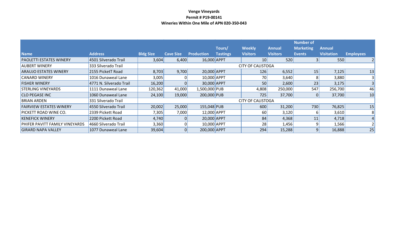#### **Venge Vineyards Permit # P19-00141 Wineries Within One Mile of APN 020-350-043**

|                                       |                         |                  |                  |                   | Tours/          | <b>Weekly</b>            | <b>Annual</b>   | <b>Number of</b><br><b>Marketing</b> | <b>Annual</b> |                  |
|---------------------------------------|-------------------------|------------------|------------------|-------------------|-----------------|--------------------------|-----------------|--------------------------------------|---------------|------------------|
| <b>Name</b>                           | <b>Address</b>          | <b>Bldg Size</b> | <b>Cave Size</b> | <b>Production</b> | <b>Tastings</b> | <b>Visitors</b>          | <b>Visitors</b> | <b>Events</b>                        | Visitation    | <b>Employees</b> |
| <b>PAOLETTI ESTATES WINERY</b>        | 4501 Silverado Trail    | 3,604            | 6,400            | 16,000 APPT       |                 | 10                       | 520             |                                      | 550           |                  |
| <b>AUBERT WINERY</b>                  | 333 Silverado Trail     |                  |                  |                   |                 | <b>CITY OF CALISTOGA</b> |                 |                                      |               |                  |
| <b>ARAUJO ESTATES WINERY</b>          | 2155 PicketT Road       | 8,703            | 9,700            | 20,000 APPT       |                 | 126                      | 6,552           | 15                                   | 7,125         | 13               |
| <b>CANARD WINERY</b>                  | 1016 Dunaweal Lane      | 3,005            |                  | 10,000 APPT       |                 | 70                       | 3,640           | 8                                    | 3,880         |                  |
| <b>FISHER WINERY</b>                  | 4771 N. Silverado Trail | 16,200           |                  | 30,000 APPT       |                 | 50                       | 2,600           | 23                                   | 3,175         |                  |
| <b>STERLING VINEYARDS</b>             | 1111 Dunaweal Lane      | 120,362          | 41,000           | 1,500,000 PUB     |                 | 4,808                    | 250,000         | 547                                  | 256,700       | 46               |
| <b>CLO PEGASE INC</b>                 | 1060 Dunaweal Lane      | 24,100           | 19,000           | 200,000 PUB       |                 | 725                      | 37,700          | 0                                    | 37,700        | 10               |
| <b>BRIAN ARDEN</b>                    | 331 Silverado Trail     |                  |                  |                   |                 | <b>CITY OF CALISTOGA</b> |                 |                                      |               |                  |
| <b>FAIRVIEW ESTATES WINERY</b>        | 4550 Silverado Trail    | 20,002           | 25,000           | 155,048 PUB       |                 | 600                      | 31,200          | 730                                  | 76,825        | 15               |
| <b>PICKETT ROAD WINE CO.</b>          | 2339 Pickett Road       | 7,305            | 7,000            | 12,000 APPT       |                 | 60                       | 3,120           | 6                                    | 3,610         | 8.               |
| <b>KENEFICK WINERY</b>                | 2200 Pickett Road       | 4,740            |                  | 20,000 APPT       |                 | 84                       | 4,368           | 11                                   | 4,718         |                  |
| <b>PHIFER PAVITT FAMILY VINEYARDS</b> | 4660 Silverado Trail    | 3,360            |                  | 10,000 APPT       |                 | 28                       | 1,456           | 9                                    | 1,566         |                  |
| <b>GIRARD NAPA VALLEY</b>             | 1077 Dunaweal Lane      | 39,604           | 01               | 200,000 APPT      |                 | 294                      | 15,288          | 9                                    | 16,888        | 25               |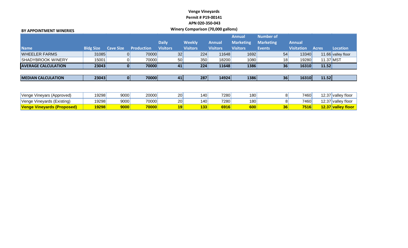# **Venge Vineyards Permit # P19-00141 APN 020-350-043 Winery Comparison (70,000 gallons) BY APPOINTMENT WINERIES**

|                                   |                  |                  |                   | <b>Daily</b>    | <b>Weekly</b>   | <b>Annual</b>   | <b>Annual</b><br><b>Marketing</b> | <b>Number of</b><br><b>Marketing</b> | <b>Annual</b>     |              |                    |
|-----------------------------------|------------------|------------------|-------------------|-----------------|-----------------|-----------------|-----------------------------------|--------------------------------------|-------------------|--------------|--------------------|
| <b>Name</b>                       | <b>Bldg Size</b> | <b>Cave Size</b> | <b>Production</b> | <b>Visitors</b> | <b>Visitors</b> | <b>Visitors</b> | <b>Visitors</b>                   | <b>Events</b>                        | <b>Visitation</b> | <b>Acres</b> | Location           |
| <b>WHEELER FARMS</b>              | 31085            | 01               | 70000             | 32              | 224             | 11648           | 1692                              | 54                                   | 13340             |              | 11.66 valley floor |
| <b>SHADYBROOK WINERY</b>          | 15001            |                  | 70000             | 50              | 350             | 18200           | 1080                              | 18                                   | 19280             | 11.37 MST    |                    |
| <b>AVERAGE CALCULATION</b>        | 23043            | 01               | 70000             | 41              | 224             | 11648           | 1386                              | 36                                   | 16310             | 11.52        |                    |
|                                   |                  |                  |                   |                 |                 |                 |                                   |                                      |                   |              |                    |
| <b>IMEDIAN CALCULATION</b>        | 23043            |                  | 70000             | 41              | 287             | 14924           | 1386                              | 36                                   | 16310             | 11.52        |                    |
|                                   |                  |                  |                   |                 |                 |                 |                                   |                                      |                   |              |                    |
| Venge Vineyars (Approved)         | 19298            | 9000             | 20000             | 20              | 140             | 7280            | 180                               |                                      | 7460              |              | 12.37 valley floor |
| Venge Vineyards (Existing)        | 19298            | 9000             | 70000             | 20              | 140             | 7280            | 180                               |                                      | 7460              |              | 12.37 valley floor |
| <b>Venge Vineyards (Proposed)</b> | 19298            | 9000             | 70000             | 19              | 133             | 6916            | 600                               | 36                                   | 7516              |              | 12.37 valley floor |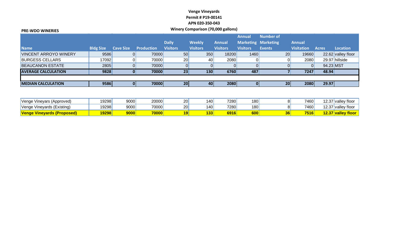# **Venge Vineyards Permit # P19-00141 APN 020-350-043 Winery Comparison (70,000 gallons) PRE-WDO WINERIES**

|                              |                  |                  |                   |                 |                 |                 | Annual          | <b>Number of</b>           |                   |              |                    |
|------------------------------|------------------|------------------|-------------------|-----------------|-----------------|-----------------|-----------------|----------------------------|-------------------|--------------|--------------------|
|                              |                  |                  |                   | <b>Daily</b>    | <b>Weekly</b>   | <b>Annual</b>   |                 | <b>Marketing Marketing</b> | <b>Annual</b>     |              |                    |
| <b>Name</b>                  | <b>Bldg Size</b> | <b>Cave Size</b> | <b>Production</b> | <b>Visitors</b> | <b>Visitors</b> | <b>Visitors</b> | <b>Visitors</b> | <b>Events</b>              | <b>Visitation</b> | <b>Acres</b> | <b>Location</b>    |
| <b>VINCENT ARROYO WINERY</b> | 9586             | $\overline{0}$   | 70000             | 50              | 350             | 18200           | 1460            | 20                         | 19660             |              | 22.62 valley floor |
| <b>BURGESS CELLARS</b>       | 17092            |                  | 70000             | 20              | 40              | 2080            |                 |                            | 2080              |              | 29.97 hillside     |
| <b>BEAUCANON ESTATE</b>      | 2805             | $\overline{0}$   | 70000             |                 |                 |                 |                 |                            | 0                 | $94.23$ MST  |                    |
| <b>AVERAGE CALCULATION</b>   | 9828             |                  | 70000             | 23              | 130             | 6760            | 487             |                            | 7247              | 48.94        |                    |
|                              |                  |                  |                   |                 |                 |                 |                 |                            |                   |              |                    |
| <b>MEDIAN CALCULATION</b>    | 9586             |                  | 70000             | 20              | 40              | 2080            |                 | 20                         | 2080              | 29.97        |                    |
|                              |                  |                  |                   |                 |                 |                 |                 |                            |                   |              |                    |
|                              |                  |                  |                   |                 |                 |                 |                 |                            |                   |              |                    |
| Venge Vineyars (Approved)    | 19298            | 9000             | 20000             | 20              | 140             | 7280            | 180             | Õ                          | 7460              |              | 12.37 valley floor |

| wil                        | 9298  | 9000 | 70000 |          |            | <u>oə.</u> | 600 | <b>7516</b> | $\sim$                                                    | <u>tiod</u>   |
|----------------------------|-------|------|-------|----------|------------|------------|-----|-------------|-----------------------------------------------------------|---------------|
| Venge Vineyards (Existing) | 9298  | 9000 | 70000 | 20       | '∩4،<br>тν | 7280       | 180 | 7460        | $\overline{10.07}$<br>ت. ک                                | rvallev floor |
| Venge Vineyars (Approved)  | 19298 | 9000 | 20000 | nn<br>∠∪ | '40 ا      | 72801      | 180 | 7460        | $\lambda$ $\sim$ $\lambda$ $\rightarrow$ $\sim$<br>$\sim$ | rvallev floor |